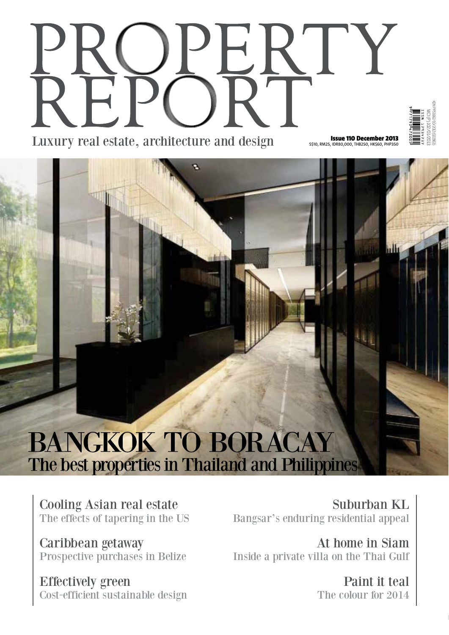# **Issue 110 December 2013**<br>S\$10, RM25, IDR80,000, THB250, HK\$60, PHP350 Luxury real estate, architecture and design

a

olutiti



## **BANGKOK TO BORACAY** The best properties in Thailand and Philippines

**Cooling Asian real estate** The effects of tapering in the US

Caribbean getaway Prospective purchases in Belize

**Effectively green** Cost-efficient sustainable design

Suburban KL Bangsar's enduring residential appeal

At home in Siam Inside a private villa on the Thai Gulf

> Paint it teal The colour for 2014